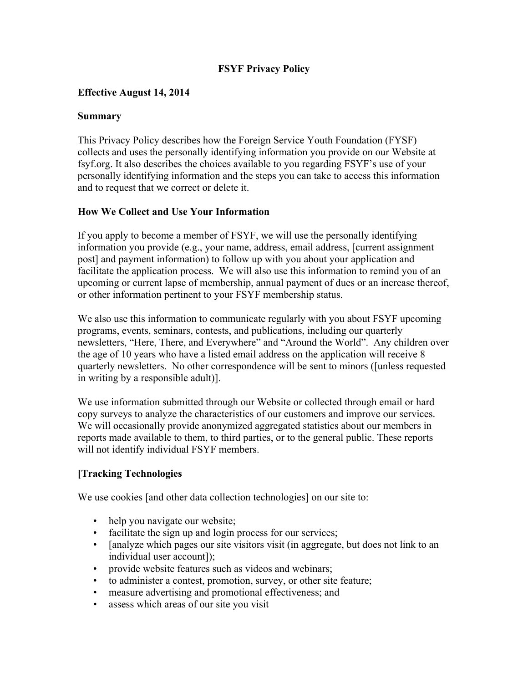### **FSYF Privacy Policy**

### **Effective August 14, 2014**

#### **Summary**

This Privacy Policy describes how the Foreign Service Youth Foundation (FYSF) collects and uses the personally identifying information you provide on our Website at fsyf.org. It also describes the choices available to you regarding FSYF's use of your personally identifying information and the steps you can take to access this information and to request that we correct or delete it.

### **How We Collect and Use Your Information**

If you apply to become a member of FSYF, we will use the personally identifying information you provide (e.g., your name, address, email address, [current assignment post] and payment information) to follow up with you about your application and facilitate the application process. We will also use this information to remind you of an upcoming or current lapse of membership, annual payment of dues or an increase thereof, or other information pertinent to your FSYF membership status.

We also use this information to communicate regularly with you about FSYF upcoming programs, events, seminars, contests, and publications, including our quarterly newsletters, "Here, There, and Everywhere" and "Around the World". Any children over the age of 10 years who have a listed email address on the application will receive 8 quarterly newsletters. No other correspondence will be sent to minors ([unless requested in writing by a responsible adult)].

We use information submitted through our Website or collected through email or hard copy surveys to analyze the characteristics of our customers and improve our services. We will occasionally provide anonymized aggregated statistics about our members in reports made available to them, to third parties, or to the general public. These reports will not identify individual FSYF members.

### **[Tracking Technologies**

We use cookies [and other data collection technologies] on our site to:

- help you navigate our website;
- facilitate the sign up and login process for our services;
- [analyze which pages our site visitors visit (in aggregate, but does not link to an individual user account]);
- provide website features such as videos and webinars;
- to administer a contest, promotion, survey, or other site feature;
- measure advertising and promotional effectiveness; and
- assess which areas of our site you visit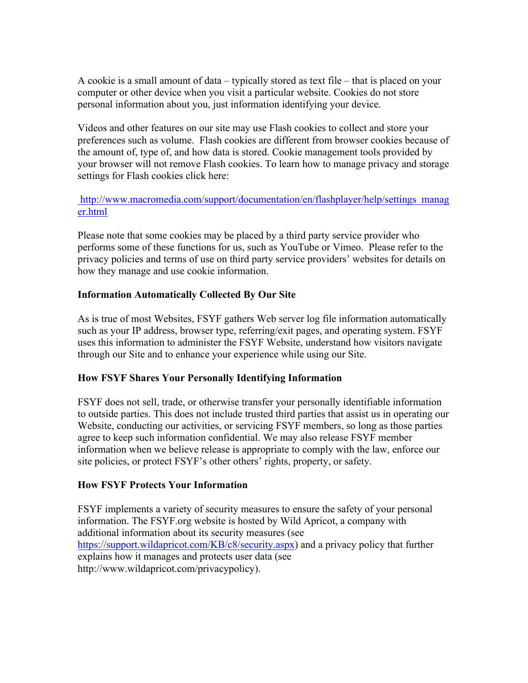A cookie is a small amount of data – typically stored as text file – that is placed on your computer or other device when you visit a particular website. Cookies do not store personal information about you, just information identifying your device.

Videos and other features on our site may use Flash cookies to collect and store your preferences such as volume. Flash cookies are different from browser cookies because of the amount of, type of, and how data is stored. Cookie management tools provided by your browser will not remove Flash cookies. To learn how to manage privacy and storage settings for Flash cookies click here:

### http://www.macromedia.com/support/documentation/en/flashplayer/help/settings\_manag er.html

Please note that some cookies may be placed by a third party service provider who performs some of these functions for us, such as YouTube or Vimeo. Please refer to the privacy policies and terms of use on third party service providers' websites for details on how they manage and use cookie information.

## **Information Automatically Collected By Our Site**

As is true of most Websites, FSYF gathers Web server log file information automatically such as your IP address, browser type, referring/exit pages, and operating system. FSYF uses this information to administer the FSYF Website, understand how visitors navigate through our Site and to enhance your experience while using our Site.

### **How FSYF Shares Your Personally Identifying Information**

FSYF does not sell, trade, or otherwise transfer your personally identifiable information to outside parties. This does not include trusted third parties that assist us in operating our Website, conducting our activities, or servicing FSYF members, so long as those parties agree to keep such information confidential. We may also release FSYF member information when we believe release is appropriate to comply with the law, enforce our site policies, or protect FSYF's other others' rights, property, or safety.

### **How FSYF Protects Your Information**

FSYF implements a variety of security measures to ensure the safety of your personal information. The FSYF.org website is hosted by Wild Apricot, a company with additional information about its security measures (see https://support.wildapricot.com/KB/c8/security.aspx) and a privacy policy that further explains how it manages and protects user data (see http://www.wildapricot.com/privacypolicy).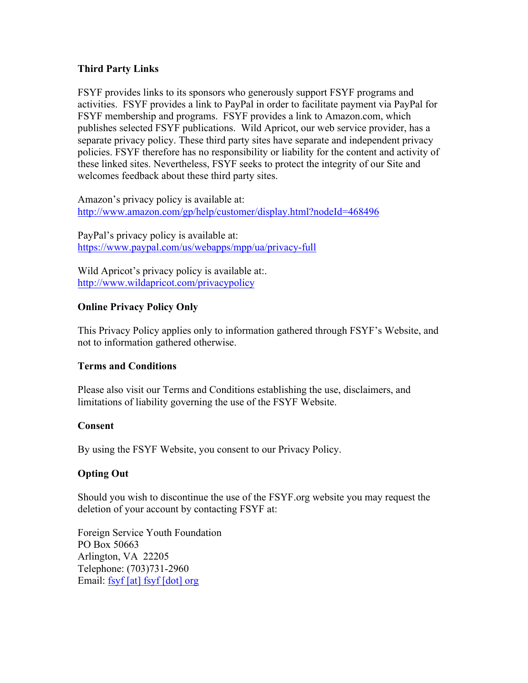#### **Third Party Links**

FSYF provides links to its sponsors who generously support FSYF programs and activities. FSYF provides a link to PayPal in order to facilitate payment via PayPal for FSYF membership and programs. FSYF provides a link to Amazon.com, which publishes selected FSYF publications. Wild Apricot, our web service provider, has a separate privacy policy. These third party sites have separate and independent privacy policies. FSYF therefore has no responsibility or liability for the content and activity of these linked sites. Nevertheless, FSYF seeks to protect the integrity of our Site and welcomes feedback about these third party sites.

Amazon's privacy policy is available at: http://www.amazon.com/gp/help/customer/display.html?nodeId=468496

PayPal's privacy policy is available at: https://www.paypal.com/us/webapps/mpp/ua/privacy-full

Wild Apricot's privacy policy is available at:. http://www.wildapricot.com/privacypolicy

### **Online Privacy Policy Only**

This Privacy Policy applies only to information gathered through FSYF's Website, and not to information gathered otherwise.

#### **Terms and Conditions**

Please also visit our Terms and Conditions establishing the use, disclaimers, and limitations of liability governing the use of the FSYF Website.

#### **Consent**

By using the FSYF Website, you consent to our Privacy Policy.

### **Opting Out**

Should you wish to discontinue the use of the FSYF.org website you may request the deletion of your account by contacting FSYF at:

Foreign Service Youth Foundation PO Box 50663 Arlington, VA 22205 Telephone: (703)731-2960 Email: fsyf [at] fsyf [dot] org